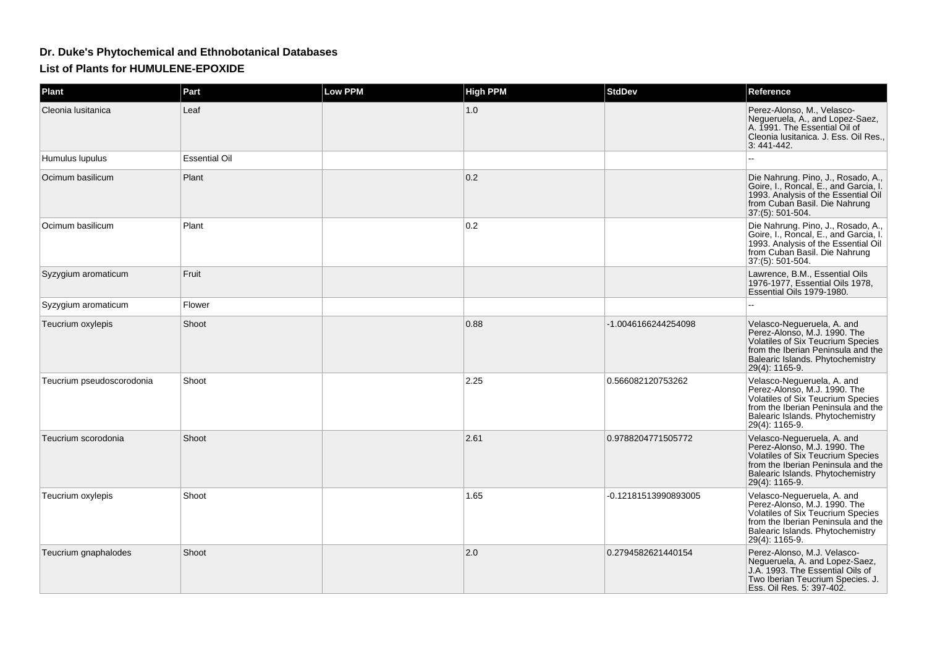## **Dr. Duke's Phytochemical and Ethnobotanical DatabasesList of Plants for HUMULENE-EPOXIDE**

| <b>Plant</b>              | Part                 | <b>Low PPM</b> | <b>High PPM</b> | <b>StdDev</b>        | Reference                                                                                                                                                                                   |
|---------------------------|----------------------|----------------|-----------------|----------------------|---------------------------------------------------------------------------------------------------------------------------------------------------------------------------------------------|
| Cleonia Iusitanica        | Leaf                 |                | 1.0             |                      | Perez-Alonso, M., Velasco-<br>Negueruela, A., and Lopez-Saez,<br>A. 1991. The Essential Oil of<br>Cleonia Iusitanica. J. Ess. Oil Res.,<br>3:441-442.                                       |
| Humulus lupulus           | <b>Essential Oil</b> |                |                 |                      |                                                                                                                                                                                             |
| Ocimum basilicum          | Plant                |                | 0.2             |                      | Die Nahrung. Pino, J., Rosado, A.,<br>Goire, I., Roncal, E., and Garcia, I.<br>1993. Analysis of the Essential Oil<br>from Cuban Basil. Die Nahrung<br>37:(5): 501-504.                     |
| Ocimum basilicum          | Plant                |                | 0.2             |                      | Die Nahrung. Pino, J., Rosado, A.,<br>Goire, I., Roncal, E., and Garcia, I.<br>1993. Analysis of the Essential Oil<br>from Cuban Basil. Die Nahrung<br>37:(5): 501-504.                     |
| Syzygium aromaticum       | Fruit                |                |                 |                      | Lawrence, B.M., Essential Oils<br>1976-1977, Essential Oils 1978,<br>Essential Oils 1979-1980.                                                                                              |
| Syzygium aromaticum       | Flower               |                |                 |                      |                                                                                                                                                                                             |
| Teucrium oxylepis         | Shoot                |                | 0.88            | -1.0046166244254098  | Velasco-Negueruela, A. and<br>Perez-Alonso, M.J. 1990. The<br>Volatiles of Six Teucrium Species<br>from the Iberian Peninsula and the<br>Balearic Islands. Phytochemistry<br>29(4): 1165-9. |
| Teucrium pseudoscorodonia | Shoot                |                | 2.25            | 0.566082120753262    | Velasco-Negueruela, A. and<br>Perez-Alonso, M.J. 1990. The<br>Volatiles of Six Teucrium Species<br>from the Iberian Peninsula and the<br>Balearic Islands. Phytochemistry<br>29(4): 1165-9. |
| Teucrium scorodonia       | Shoot                |                | 2.61            | 0.9788204771505772   | Velasco-Negueruela, A. and<br>Perez-Alonso, M.J. 1990. The<br>Volatiles of Six Teucrium Species<br>from the Iberian Peninsula and the<br>Balearic Islands. Phytochemistry<br>29(4): 1165-9. |
| Teucrium oxylepis         | Shoot                |                | 1.65            | -0.12181513990893005 | Velasco-Nequeruela, A. and<br>Perez-Alonso, M.J. 1990. The<br>Volatiles of Six Teucrium Species<br>from the Iberian Peninsula and the<br>Balearic Islands. Phytochemistry<br>29(4): 1165-9. |
| Teucrium gnaphalodes      | Shoot                |                | 2.0             | 0.2794582621440154   | Perez-Alonso, M.J. Velasco-<br>Negueruela, A. and Lopez-Saez,<br>J.A. 1993. The Essential Oils of<br>Two Iberian Teucrium Species. J.<br>Ess. Oil Res. 5: 397-402.                          |